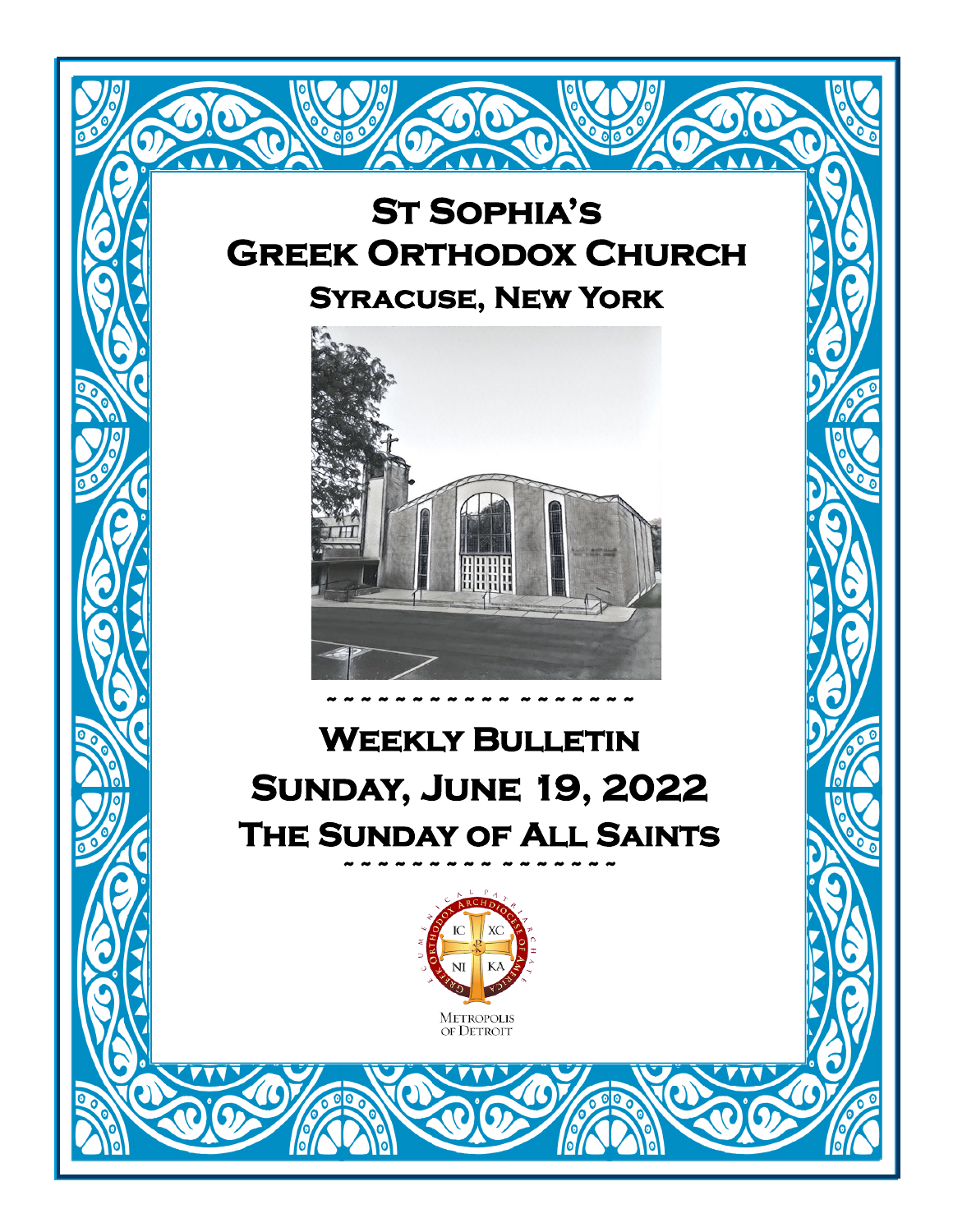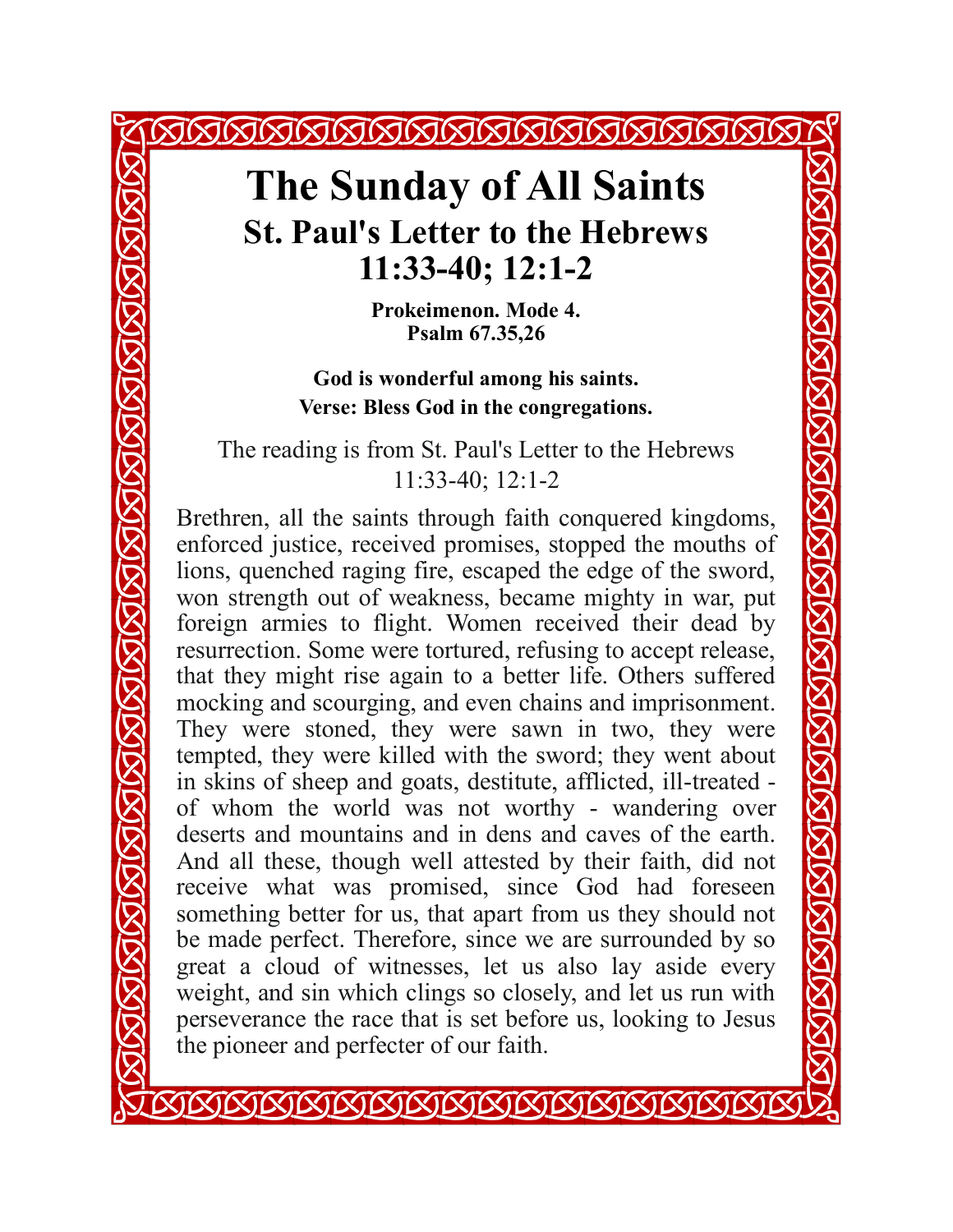### **The Sunday of All Saints St. Paul's Letter to the Hebrews 11:33-40; 12:1-2**

**SKISISISISISISISISISISISISISI** 

**Prokeimenon. Mode 4. Psalm 67.35,26**

**NAWAKI** 

**God is wonderful among his saints. Verse: Bless God in the congregations.**

The reading is from St. Paul's Letter to the Hebrews 11:33-40; 12:1-2

Brethren, all the saints through faith conquered kingdoms, enforced justice, received promises, stopped the mouths of lions, quenched raging fire, escaped the edge of the sword, won strength out of weakness, became mighty in war, put foreign armies to flight. Women received their dead by resurrection. Some were tortured, refusing to accept release, that they might rise again to a better life. Others suffered mocking and scourging, and even chains and imprisonment. They were stoned, they were sawn in two, they were tempted, they were killed with the sword; they went about in skins of sheep and goats, destitute, afflicted, ill-treated of whom the world was not worthy - wandering over deserts and mountains and in dens and caves of the earth. And all these, though well attested by their faith, did not receive what was promised, since God had foreseen something better for us, that apart from us they should not be made perfect. Therefore, since we are surrounded by so great a cloud of witnesses, let us also lay aside every weight, and sin which clings so closely, and let us run with perseverance the race that is set before us, looking to Jesus the pioneer and perfecter of our faith.

KIKIKIKIKIKIKIKIKIKIKIKIKIKI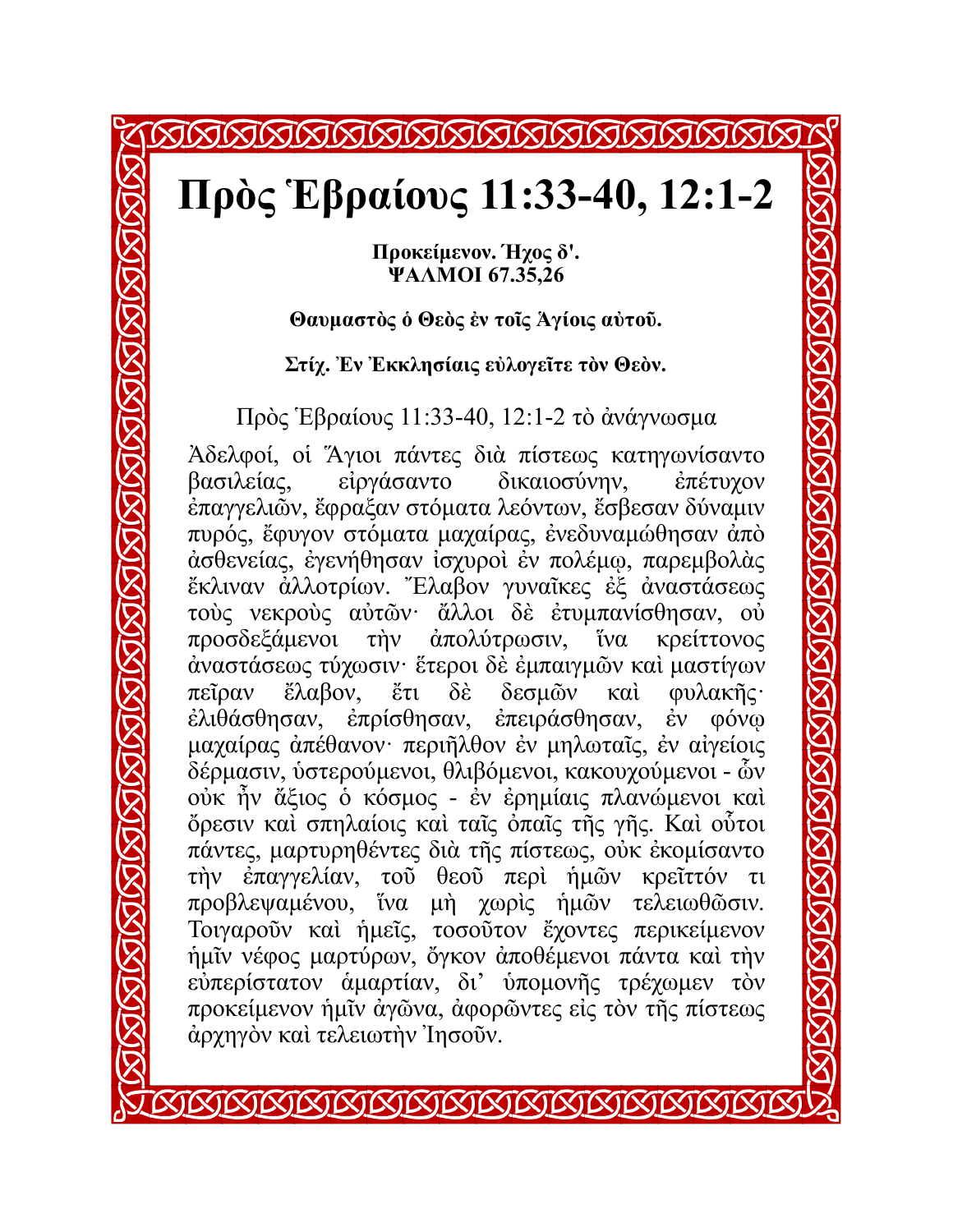## XIXIXIXIXIXIXIX

## **Πρὸς Ἑβραίους 11:33-40, 12:1-2**

**Προκείμενον. Ήχος δ'. ΨΑΛΜΟΙ 67.35,26**

### **Θαυμαστὸς ὁ Θεὸς ἐν τοῖς Ἁγίοις αὐτοῦ.**

**Στίχ. Ἐν Ἐκκλησίαις εὐλογεῖτε τὸν Θεὸν.**

Πρὸς Ἑβραίους 11:33-40, 12:1-2 τὸ ἀνάγνωσμα

Ἀδελφοί, οἱ Ἅγιοι πάντες διὰ πίστεως κατηγωνίσαντο βασιλείας, εἰργάσαντο δικαιοσύνην, ἐπέτυχον ἐπαγγελιῶν, ἔφραξαν στόματα λεόντων, ἔσβεσαν δύναμιν πυρός, ἔφυγον στόματα μαχαίρας, ἐνεδυναμώθησαν ἀπὸ ἀσθενείας, ἐγενήθησαν ἰσχυροὶ ἐν πολέμῳ, παρεμβολὰς ἔκλιναν ἀλλοτρίων. Ἔλαβον γυναῖκες ἐξ ἀναστάσεως τοὺς νεκροὺς αὐτῶν· ἄλλοι δὲ ἐτυμπανίσθησαν, οὐ προσδεξάμενοι τὴν ἀπολύτρωσιν, ἵνα κρείττονος ἀναστάσεως τύχωσιν· ἕτεροι δὲ ἐμπαιγμῶν καὶ μαστίγων πεῖραν ἔλαβον, ἔτι δὲ δεσμῶν καὶ φυλακῆς· ἐλιθάσθησαν, ἐπρίσθησαν, ἐπειράσθησαν, ἐν φόνῳ μαχαίρας ἀπέθανον· περιῆλθον ἐν μηλωταῖς, ἐν αἰγείοις δέρμασιν, ὑστερούμενοι, θλιβόμενοι, κακουχούμενοι - ὧν οὐκ ἦν ἄξιος ὁ κόσμος - ἐν ἐρημίαις πλανώμενοι καὶ ὄρεσιν καὶ σπηλαίοις καὶ ταῖς ὀπαῖς τῆς γῆς. Καὶ οὗτοι πάντες, μαρτυρηθέντες διὰ τῆς πίστεως, οὐκ ἐκομίσαντο τὴν ἐπαγγελίαν, τοῦ θεοῦ περὶ ἡμῶν κρεῖττόν τι προβλεψαμένου, ἵνα μὴ χωρὶς ἡμῶν τελειωθῶσιν. Τοιγαροῦν καὶ ἡμεῖς, τοσοῦτον ἔχοντες περικείμενον ἡμῖν νέφος μαρτύρων, ὄγκον ἀποθέμενοι πάντα καὶ τὴν εὐπερίστατον ἁμαρτίαν, δι' ὑπομονῆς τρέχωμεν τὸν προκείμενον ἡμῖν ἀγῶνα, ἀφορῶντες εἰς τὸν τῆς πίστεως ἀρχηγὸν καὶ τελειωτὴν Ἰησοῦν.

**STETETETETETETETETETETETETETET**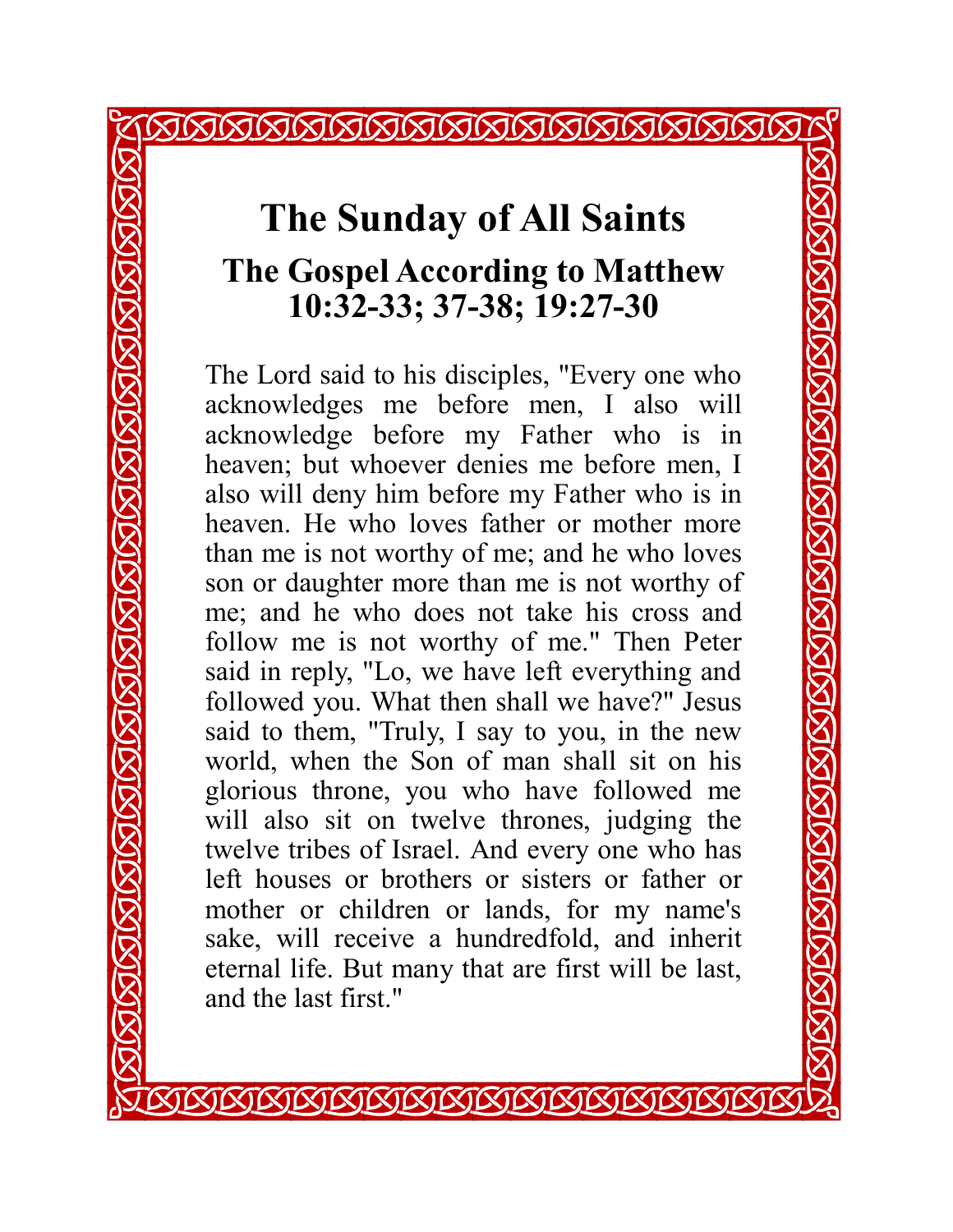### **The Sunday of All Saints The Gospel According to Matthew 10:32-33; 37-38; 19:27-30**

<u>KJKJKJKJKJKJKJKJKJKJKJKJKJKJKJ</u>

The Lord said to his disciples, "Every one who acknowledges me before men, I also will acknowledge before my Father who is in heaven; but whoever denies me before men, I also will deny him before my Father who is in heaven. He who loves father or mother more than me is not worthy of me; and he who loves son or daughter more than me is not worthy of me; and he who does not take his cross and follow me is not worthy of me." Then Peter said in reply, "Lo, we have left everything and followed you. What then shall we have?" Jesus said to them, "Truly, I say to you, in the new world, when the Son of man shall sit on his glorious throne, you who have followed me will also sit on twelve thrones, judging the twelve tribes of Israel. And every one who has left houses or brothers or sisters or father or mother or children or lands, for my name's sake, will receive a hundredfold, and inherit eternal life. But many that are first will be last, and the last first."

*KIKIKIKIKIKIKIKIKIKIKIKIKI*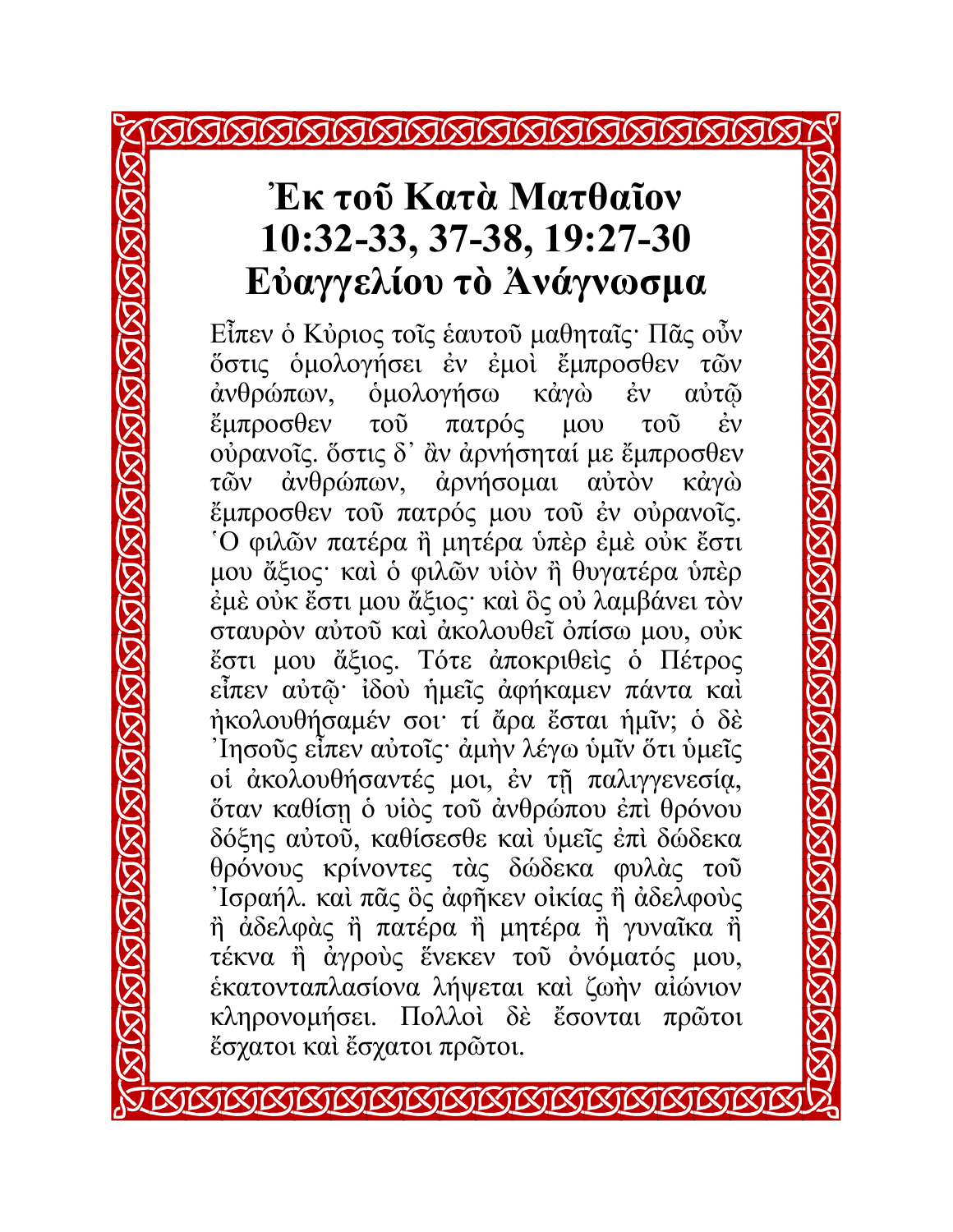### **Ἐκ τοῦ Κατὰ Ματθαῖον 10:32-33, 37-38, 19:27-30 Εὐαγγελίου τὸ Ἀνάγνωσμα**

Εἶπεν ὁ Κὐριος τοῖς ἑαυτοῦ μαθηταῖς· Πᾶς οὖν ὅστις ὁμολογήσει ἐν ἐμοὶ ἔμπροσθεν τῶν ἀνθρώπων, ὁμολογήσω κἀγὼ ἐν αὐτῷ ἔμπροσθεν τοῦ πατρός μου τοῦ ἐν οὐρανοῖς. ὅστις δ᾿ ἂν ἀρνήσηταί με ἔμπροσθεν τῶν ἀνθρώπων, ἀρνήσομαι αὐτὸν κἀγὼ ἔμπροσθεν τοῦ πατρός μου τοῦ ἐν οὐρανοῖς. ῾Ο φιλῶν πατέρα ἢ μητέρα ὑπὲρ ἐμὲ οὐκ ἔστι μου ἄξιος· καὶ ὁ φιλῶν υἱὸν ἢ θυγατέρα ὑπὲρ ἐμὲ οὐκ ἔστι μου ἄξιος· καὶ ὃς οὐ λαμβάνει τὸν σταυρὸν αὐτοῦ καὶ ἀκολουθεῖ ὀπίσω μου, οὐκ ἔστι μου ἄξιος. Τότε ἀποκριθεὶς ὁ Πέτρος εἶπεν αὐτῷ· ἰδοὺ ἡμεῖς ἀφήκαμεν πάντα καὶ ἠκολουθήσαμέν σοι· τί ἄρα ἔσται ἡμῖν; ὁ δὲ ᾿Ιησοῦς εἶπεν αὐτοῖς· ἀμὴν λέγω ὑμῖν ὅτι ὑμεῖς οἱ ἀκολουθήσαντές μοι, ἐν τῇ παλιγγενεσίᾳ, ὅταν καθίσῃ ὁ υἱὸς τοῦ ἀνθρώπου ἐπὶ θρόνου δόξης αὐτοῦ, καθίσεσθε καὶ ὑμεῖς ἐπὶ δώδεκα θρόνους κρίνοντες τὰς δώδεκα φυλὰς τοῦ ᾿Ισραήλ. καὶ πᾶς ὃς ἀφῆκεν οἰκίας ἢ ἀδελφοὺς ἢ ἀδελφὰς ἢ πατέρα ἢ μητέρα ἢ γυναῖκα ἢ τέκνα ἢ ἀγροὺς ἕνεκεν τοῦ ὀνόματός μου, ἑκατονταπλασίονα λήψεται καὶ ζωὴν αἰώνιον κληρονομήσει. Πολλοὶ δὲ ἔσονται πρῶτοι ἔσχατοι καὶ ἔσχατοι πρῶτοι.

*KIKIKIKIKIKIKI*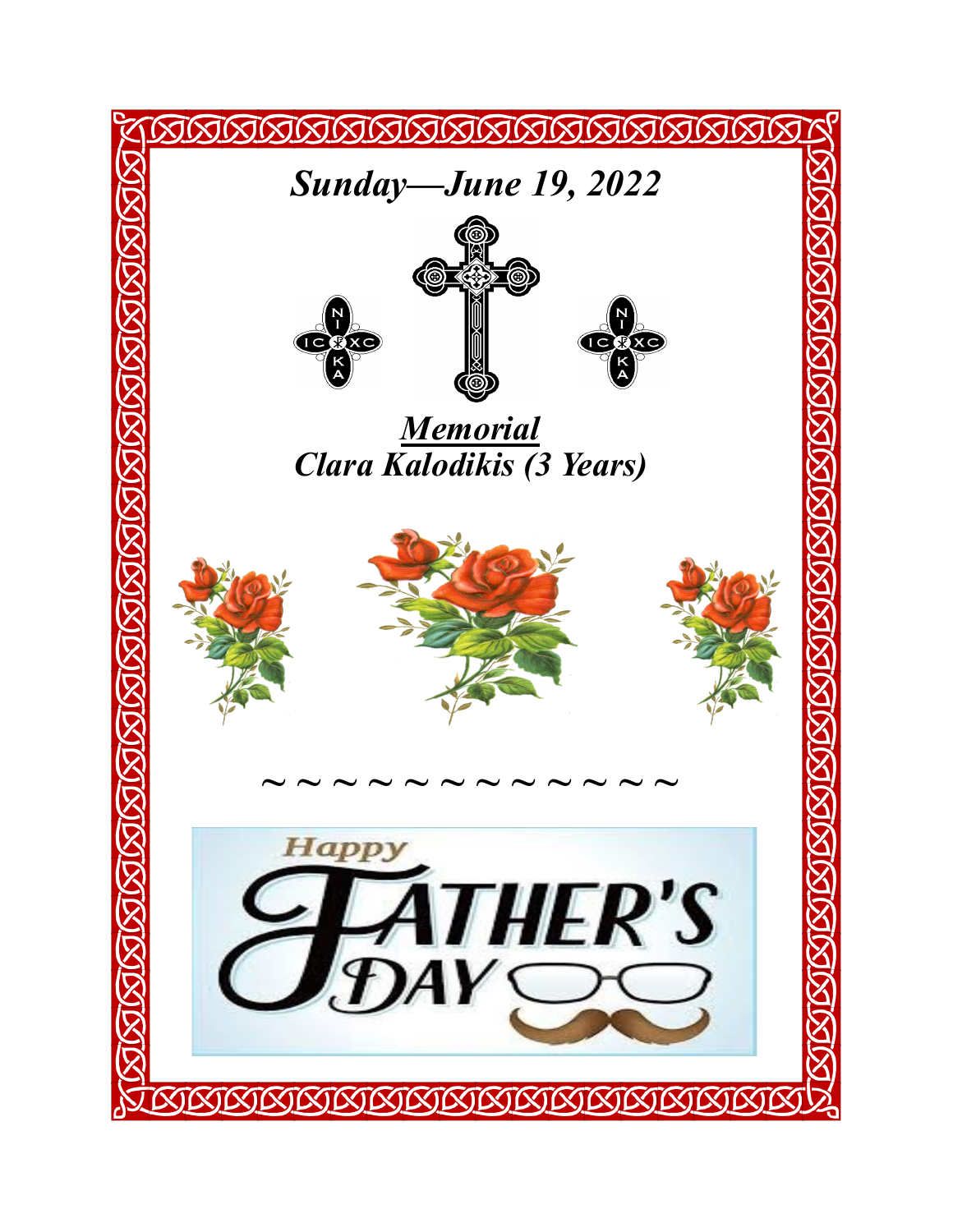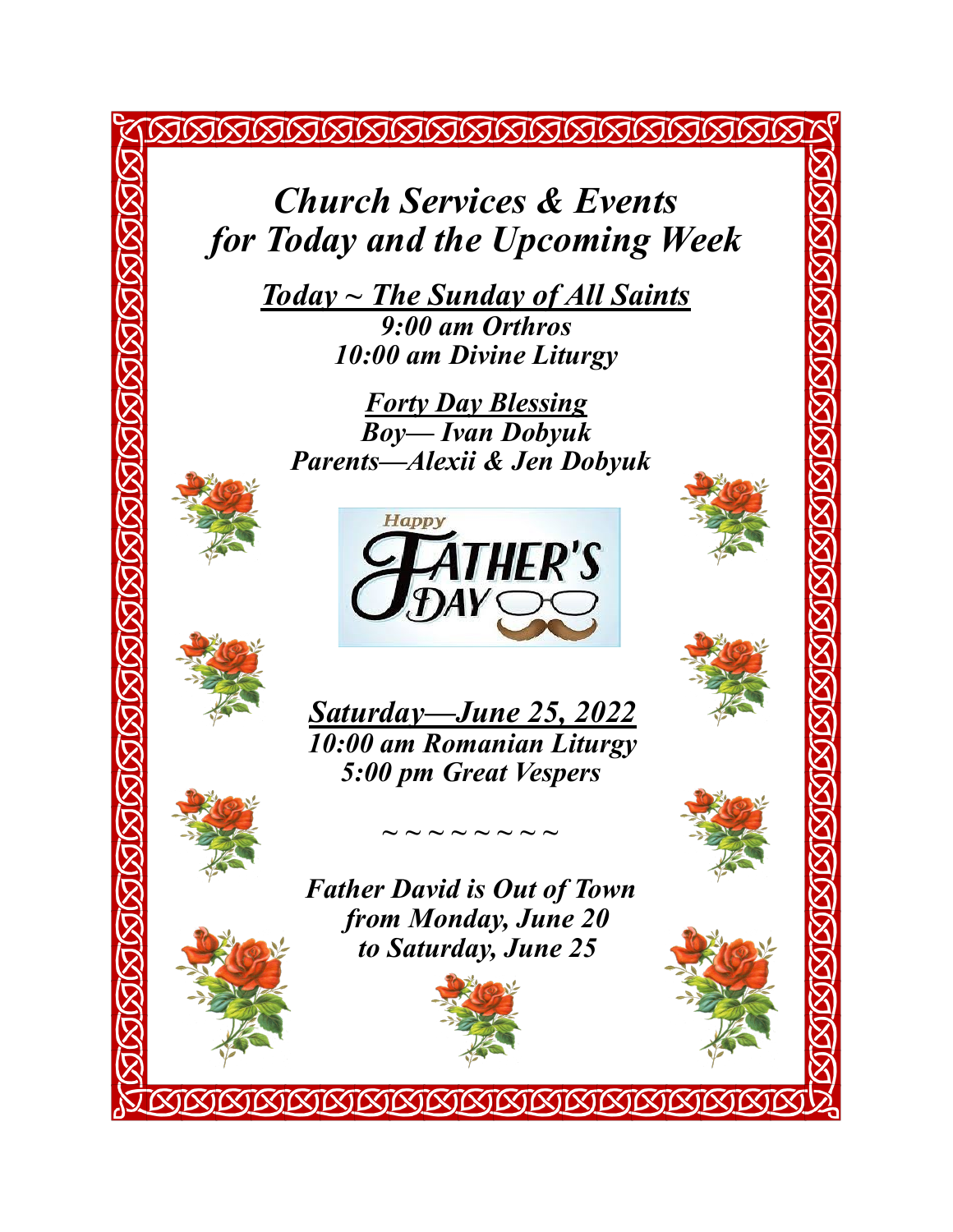